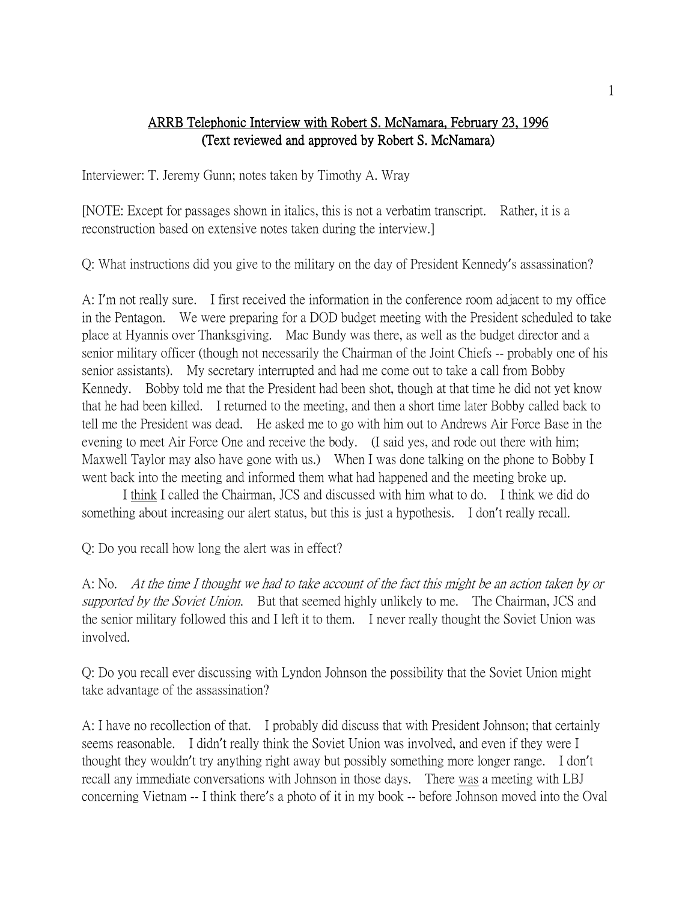## ARRB Telephonic Interview with Robert S. McNamara, February 23, 1996 (Text reviewed and approved by Robert S. McNamara)

Interviewer: T. Jeremy Gunn; notes taken by Timothy A. Wray

[NOTE: Except for passages shown in italics, this is not a verbatim transcript. Rather, it is a reconstruction based on extensive notes taken during the interview.]

Q: What instructions did you give to the military on the day of President Kennedy's assassination?

A: I'm not really sure. I first received the information in the conference room adjacent to my office in the Pentagon. We were preparing for a DOD budget meeting with the President scheduled to take place at Hyannis over Thanksgiving. Mac Bundy was there, as well as the budget director and a senior military officer (though not necessarily the Chairman of the Joint Chiefs -- probably one of his senior assistants). My secretary interrupted and had me come out to take a call from Bobby Kennedy. Bobby told me that the President had been shot, though at that time he did not yet know that he had been killed. I returned to the meeting, and then a short time later Bobby called back to tell me the President was dead. He asked me to go with him out to Andrews Air Force Base in the evening to meet Air Force One and receive the body. (I said yes, and rode out there with him; Maxwell Taylor may also have gone with us.) When I was done talking on the phone to Bobby I went back into the meeting and informed them what had happened and the meeting broke up.

I think I called the Chairman, JCS and discussed with him what to do. I think we did do something about increasing our alert status, but this is just a hypothesis. I don't really recall.

Q: Do you recall how long the alert was in effect?

A: No. At the time I thought we had to take account of the fact this might be an action taken by or supported by the Soviet Union. But that seemed highly unlikely to me. The Chairman, JCS and the senior military followed this and I left it to them. I never really thought the Soviet Union was involved.

Q: Do you recall ever discussing with Lyndon Johnson the possibility that the Soviet Union might take advantage of the assassination?

A: I have no recollection of that. I probably did discuss that with President Johnson; that certainly seems reasonable. I didn't really think the Soviet Union was involved, and even if they were I thought they wouldn't try anything right away but possibly something more longer range. I don't recall any immediate conversations with Johnson in those days. There was a meeting with LBJ concerning Vietnam -- I think there's a photo of it in my book -- before Johnson moved into the Oval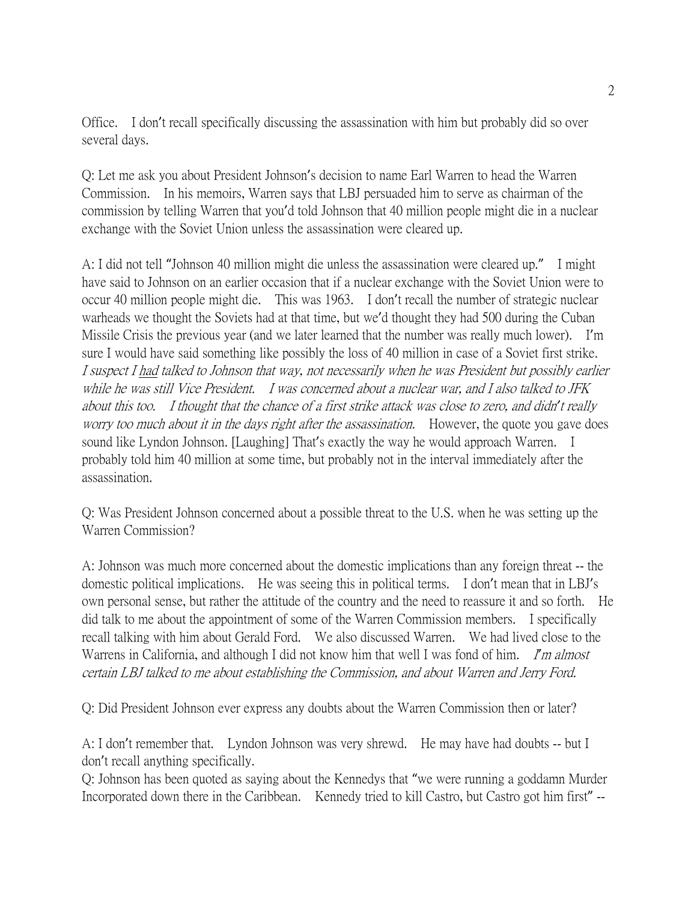Office. I don't recall specifically discussing the assassination with him but probably did so over several days.

Q: Let me ask you about President Johnson's decision to name Earl Warren to head the Warren Commission. In his memoirs, Warren says that LBJ persuaded him to serve as chairman of the commission by telling Warren that you'd told Johnson that 40 million people might die in a nuclear exchange with the Soviet Union unless the assassination were cleared up.

A: I did not tell "Johnson 40 million might die unless the assassination were cleared up." I might have said to Johnson on an earlier occasion that if a nuclear exchange with the Soviet Union were to occur 40 million people might die. This was 1963. I don't recall the number of strategic nuclear warheads we thought the Soviets had at that time, but we'd thought they had 500 during the Cuban Missile Crisis the previous year (and we later learned that the number was really much lower). I'm sure I would have said something like possibly the loss of 40 million in case of a Soviet first strike. I suspect I had talked to Johnson that way, not necessarily when he was President but possibly earlier while he was still Vice President. I was concerned about a nuclear war, and I also talked to JFK about this too. I thought that the chance of a first strike attack was close to zero, and didn*'*t really worry too much about it in the days right after the assassination. However, the quote you gave does sound like Lyndon Johnson. [Laughing] That's exactly the way he would approach Warren. I probably told him 40 million at some time, but probably not in the interval immediately after the assassination.

Q: Was President Johnson concerned about a possible threat to the U.S. when he was setting up the Warren Commission?

A: Johnson was much more concerned about the domestic implications than any foreign threat -- the domestic political implications. He was seeing this in political terms. I don't mean that in LBJ's own personal sense, but rather the attitude of the country and the need to reassure it and so forth. He did talk to me about the appointment of some of the Warren Commission members. I specifically recall talking with him about Gerald Ford. We also discussed Warren. We had lived close to the Warrens in California, and although I did not know him that well I was fond of him. I'm almost certain LBJ talked to me about establishing the Commission, and about Warren and Jerry Ford.

Q: Did President Johnson ever express any doubts about the Warren Commission then or later?

A: I don't remember that. Lyndon Johnson was very shrewd. He may have had doubts -- but I don't recall anything specifically.

Q: Johnson has been quoted as saying about the Kennedys that "we were running a goddamn Murder Incorporated down there in the Caribbean. Kennedy tried to kill Castro, but Castro got him first" --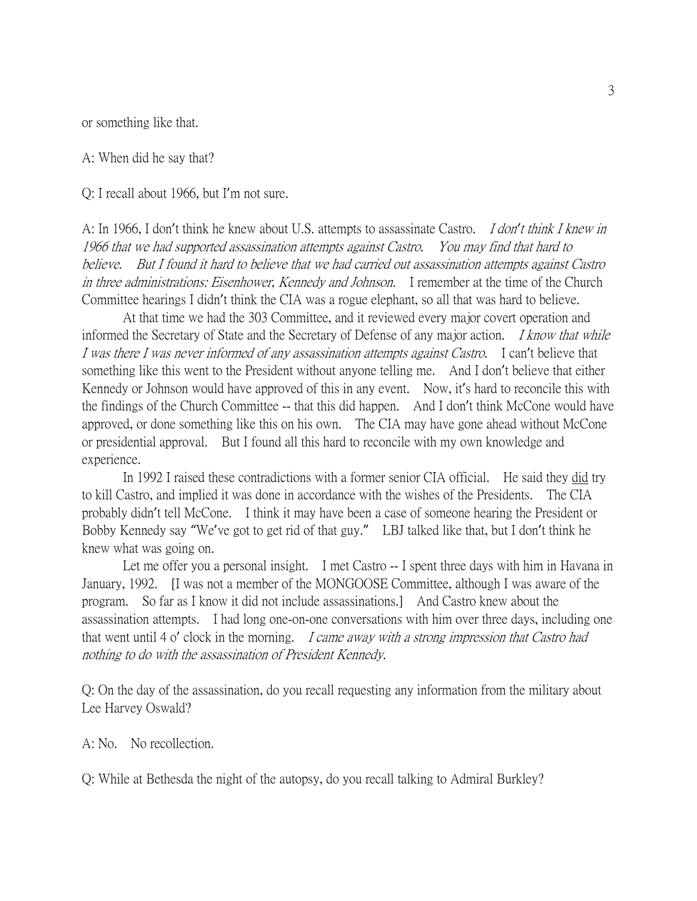or something like that.

A: When did he say that?

Q: I recall about 1966, but I'm not sure.

A: In 1966, I don't think he knew about U.S. attempts to assassinate Castro. I don*'*t think I knew in 1966 that we had supported assassination attempts against Castro. You may find that hard to believe. But I found it hard to believe that we had carried out assassination attempts against Castro in three administrations: Eisenhower, Kennedy and Johnson. I remember at the time of the Church Committee hearings I didn't think the CIA was a rogue elephant, so all that was hard to believe.

At that time we had the 303 Committee, and it reviewed every major covert operation and informed the Secretary of State and the Secretary of Defense of any major action. *I know that while* I was there I was never informed of any assassination attempts against Castro. I can't believe that something like this went to the President without anyone telling me. And I don't believe that either Kennedy or Johnson would have approved of this in any event. Now, it's hard to reconcile this with the findings of the Church Committee -- that this did happen. And I don't think McCone would have approved, or done something like this on his own. The CIA may have gone ahead without McCone or presidential approval. But I found all this hard to reconcile with my own knowledge and experience.

In 1992 I raised these contradictions with a former senior CIA official. He said they did try to kill Castro, and implied it was done in accordance with the wishes of the Presidents. The CIA probably didn't tell McCone. I think it may have been a case of someone hearing the President or Bobby Kennedy say "We've got to get rid of that guy." LBJ talked like that, but I don't think he knew what was going on.

Let me offer you a personal insight. I met Castro -- I spent three days with him in Havana in January, 1992. [I was not a member of the MONGOOSE Committee, although I was aware of the program. So far as I know it did not include assassinations.] And Castro knew about the assassination attempts. I had long one-on-one conversations with him over three days, including one that went until 4 o' clock in the morning. *I came away with a strong impression that Castro had* nothing to do with the assassination of President Kennedy.

Q: On the day of the assassination, do you recall requesting any information from the military about Lee Harvey Oswald?

A: No. No recollection.

Q: While at Bethesda the night of the autopsy, do you recall talking to Admiral Burkley?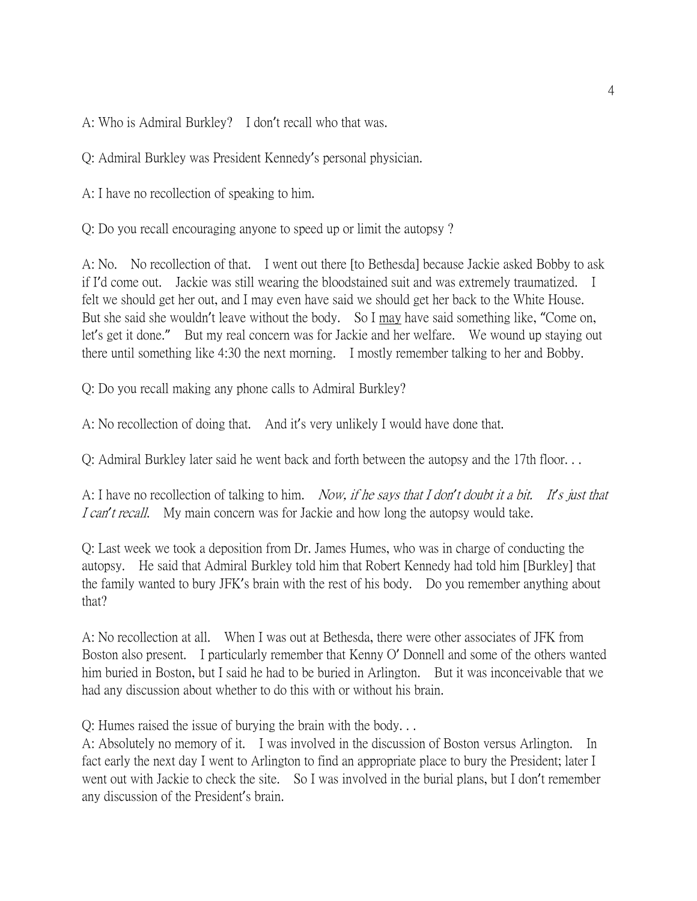A: Who is Admiral Burkley? I don't recall who that was.

Q: Admiral Burkley was President Kennedy's personal physician.

A: I have no recollection of speaking to him.

Q: Do you recall encouraging anyone to speed up or limit the autopsy ?

A: No. No recollection of that. I went out there [to Bethesda] because Jackie asked Bobby to ask if I'd come out. Jackie was still wearing the bloodstained suit and was extremely traumatized. I felt we should get her out, and I may even have said we should get her back to the White House. But she said she wouldn't leave without the body. So I may have said something like, "Come on, let's get it done." But my real concern was for Jackie and her welfare. We wound up staying out there until something like 4:30 the next morning. I mostly remember talking to her and Bobby.

Q: Do you recall making any phone calls to Admiral Burkley?

A: No recollection of doing that. And it's very unlikely I would have done that.

Q: Admiral Burkley later said he went back and forth between the autopsy and the 17th floor. . .

A: I have no recollection of talking to him. Now, if he says that I don*'*t doubt it a bit. It*'*s just that I can*'*t recall. My main concern was for Jackie and how long the autopsy would take.

Q: Last week we took a deposition from Dr. James Humes, who was in charge of conducting the autopsy. He said that Admiral Burkley told him that Robert Kennedy had told him [Burkley] that the family wanted to bury JFK's brain with the rest of his body. Do you remember anything about that?

A: No recollection at all. When I was out at Bethesda, there were other associates of JFK from Boston also present. I particularly remember that Kenny O' Donnell and some of the others wanted him buried in Boston, but I said he had to be buried in Arlington. But it was inconceivable that we had any discussion about whether to do this with or without his brain.

Q: Humes raised the issue of burying the brain with the body. . .

A: Absolutely no memory of it. I was involved in the discussion of Boston versus Arlington. In fact early the next day I went to Arlington to find an appropriate place to bury the President; later I went out with Jackie to check the site. So I was involved in the burial plans, but I don't remember any discussion of the President's brain.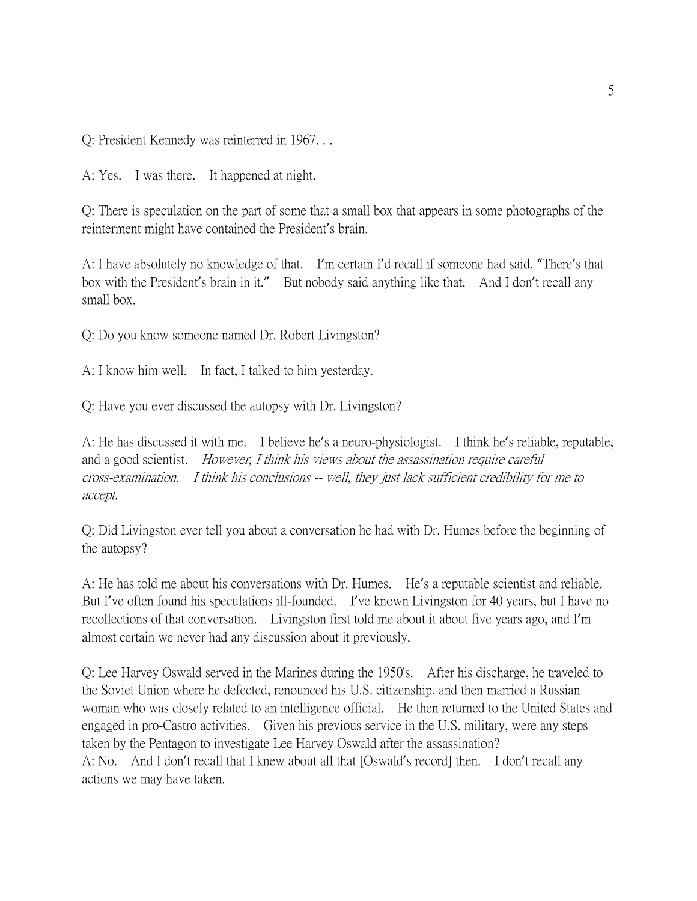Q: President Kennedy was reinterred in 1967. . .

A: Yes. I was there. It happened at night.

Q: There is speculation on the part of some that a small box that appears in some photographs of the reinterment might have contained the President's brain.

A: I have absolutely no knowledge of that. I'm certain I'd recall if someone had said, "There's that box with the President's brain in it." But nobody said anything like that. And I don't recall any small box.

Q: Do you know someone named Dr. Robert Livingston?

A: I know him well. In fact, I talked to him yesterday.

Q: Have you ever discussed the autopsy with Dr. Livingston?

A: He has discussed it with me. I believe he's a neuro-physiologist. I think he's reliable, reputable, and a good scientist. However, I think his views about the assassination require careful cross-examination. I think his conclusions -- well, they just lack sufficient credibility for me to accept.

Q: Did Livingston ever tell you about a conversation he had with Dr. Humes before the beginning of the autopsy?

A: He has told me about his conversations with Dr. Humes. He's a reputable scientist and reliable. But I've often found his speculations ill-founded. I've known Livingston for 40 years, but I have no recollections of that conversation. Livingston first told me about it about five years ago, and I'm almost certain we never had any discussion about it previously.

Q: Lee Harvey Oswald served in the Marines during the 1950's. After his discharge, he traveled to the Soviet Union where he defected, renounced his U.S. citizenship, and then married a Russian woman who was closely related to an intelligence official. He then returned to the United States and engaged in pro-Castro activities. Given his previous service in the U.S. military, were any steps taken by the Pentagon to investigate Lee Harvey Oswald after the assassination? A: No. And I don't recall that I knew about all that [Oswald's record] then. I don't recall any actions we may have taken.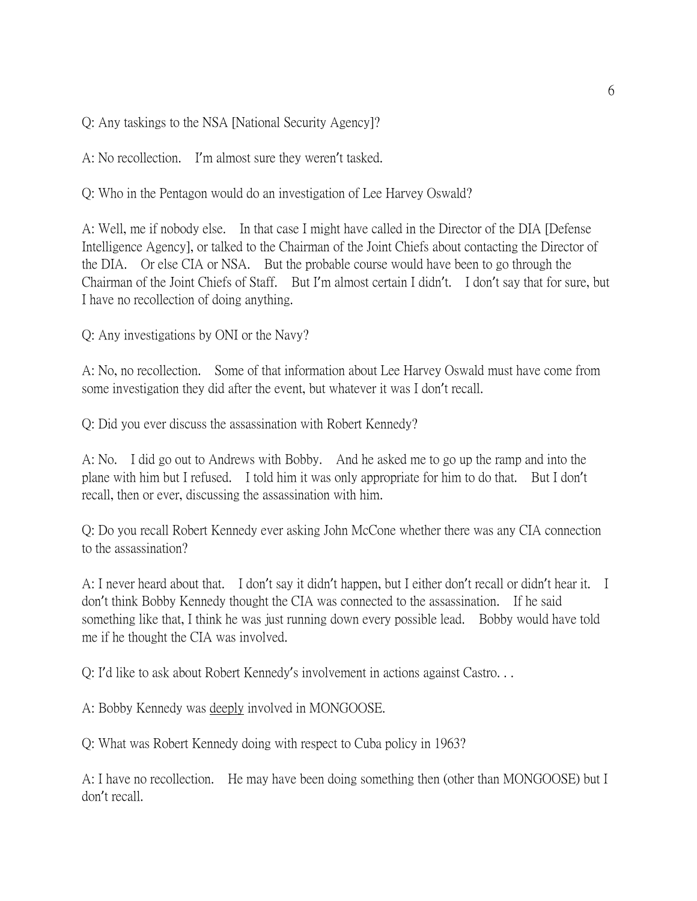Q: Any taskings to the NSA [National Security Agency]?

A: No recollection. I'm almost sure they weren't tasked.

Q: Who in the Pentagon would do an investigation of Lee Harvey Oswald?

A: Well, me if nobody else. In that case I might have called in the Director of the DIA [Defense Intelligence Agency], or talked to the Chairman of the Joint Chiefs about contacting the Director of the DIA. Or else CIA or NSA. But the probable course would have been to go through the Chairman of the Joint Chiefs of Staff. But I'm almost certain I didn't. I don't say that for sure, but I have no recollection of doing anything.

Q: Any investigations by ONI or the Navy?

A: No, no recollection. Some of that information about Lee Harvey Oswald must have come from some investigation they did after the event, but whatever it was I don't recall.

Q: Did you ever discuss the assassination with Robert Kennedy?

A: No. I did go out to Andrews with Bobby. And he asked me to go up the ramp and into the plane with him but I refused. I told him it was only appropriate for him to do that. But I don't recall, then or ever, discussing the assassination with him.

Q: Do you recall Robert Kennedy ever asking John McCone whether there was any CIA connection to the assassination?

A: I never heard about that. I don't say it didn't happen, but I either don't recall or didn't hear it. I don't think Bobby Kennedy thought the CIA was connected to the assassination. If he said something like that, I think he was just running down every possible lead. Bobby would have told me if he thought the CIA was involved.

Q: I'd like to ask about Robert Kennedy's involvement in actions against Castro. . .

A: Bobby Kennedy was deeply involved in MONGOOSE.

Q: What was Robert Kennedy doing with respect to Cuba policy in 1963?

A: I have no recollection. He may have been doing something then (other than MONGOOSE) but I don't recall.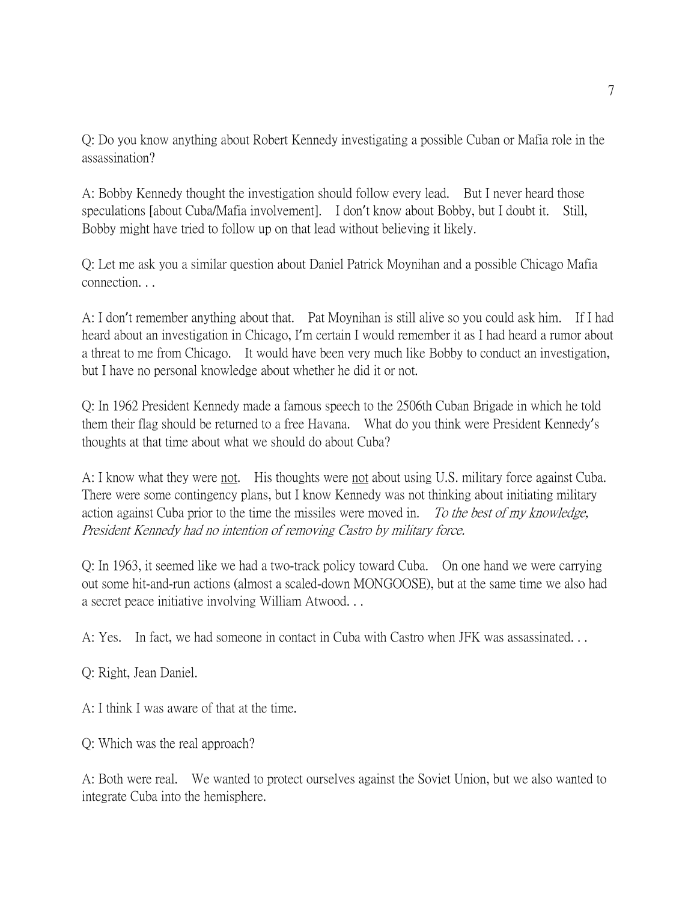Q: Do you know anything about Robert Kennedy investigating a possible Cuban or Mafia role in the assassination?

A: Bobby Kennedy thought the investigation should follow every lead. But I never heard those speculations [about Cuba/Mafia involvement]. I don't know about Bobby, but I doubt it. Still, Bobby might have tried to follow up on that lead without believing it likely.

Q: Let me ask you a similar question about Daniel Patrick Moynihan and a possible Chicago Mafia connection. . .

A: I don't remember anything about that. Pat Moynihan is still alive so you could ask him. If I had heard about an investigation in Chicago, I'm certain I would remember it as I had heard a rumor about a threat to me from Chicago. It would have been very much like Bobby to conduct an investigation, but I have no personal knowledge about whether he did it or not.

Q: In 1962 President Kennedy made a famous speech to the 2506th Cuban Brigade in which he told them their flag should be returned to a free Havana. What do you think were President Kennedy's thoughts at that time about what we should do about Cuba?

A: I know what they were not. His thoughts were not about using U.S. military force against Cuba. There were some contingency plans, but I know Kennedy was not thinking about initiating military action against Cuba prior to the time the missiles were moved in. To the best of my knowledge, President Kennedy had no intention of removing Castro by military force.

Q: In 1963, it seemed like we had a two-track policy toward Cuba. On one hand we were carrying out some hit-and-run actions (almost a scaled-down MONGOOSE), but at the same time we also had a secret peace initiative involving William Atwood. . .

A: Yes. In fact, we had someone in contact in Cuba with Castro when JFK was assassinated. . .

Q: Right, Jean Daniel.

A: I think I was aware of that at the time.

Q: Which was the real approach?

A: Both were real. We wanted to protect ourselves against the Soviet Union, but we also wanted to integrate Cuba into the hemisphere.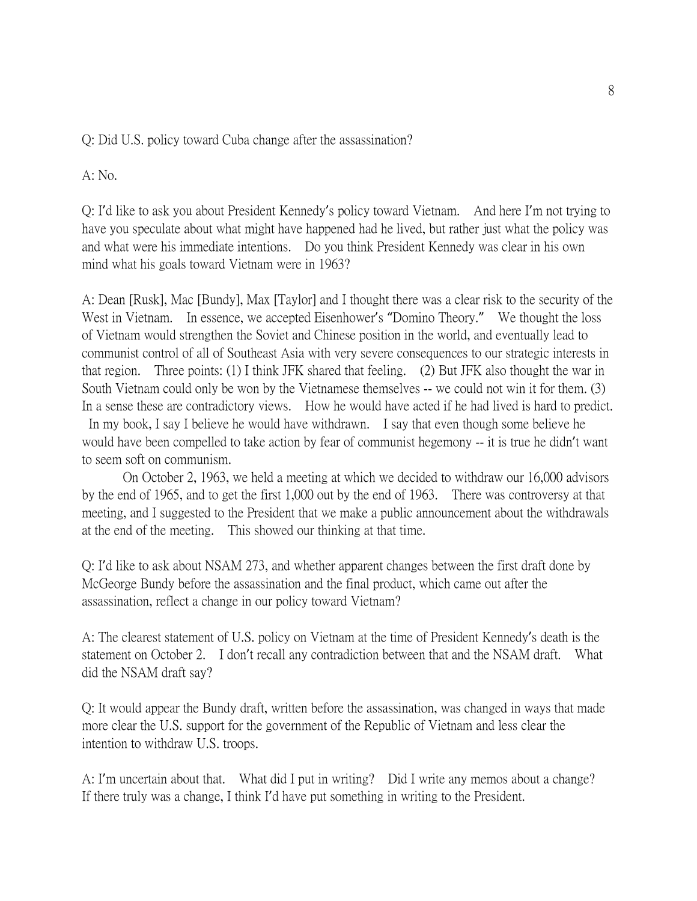Q: Did U.S. policy toward Cuba change after the assassination?

A: No.

Q: I'd like to ask you about President Kennedy's policy toward Vietnam. And here I'm not trying to have you speculate about what might have happened had he lived, but rather just what the policy was and what were his immediate intentions. Do you think President Kennedy was clear in his own mind what his goals toward Vietnam were in 1963?

A: Dean [Rusk], Mac [Bundy], Max [Taylor] and I thought there was a clear risk to the security of the West in Vietnam. In essence, we accepted Eisenhower's "Domino Theory." We thought the loss of Vietnam would strengthen the Soviet and Chinese position in the world, and eventually lead to communist control of all of Southeast Asia with very severe consequences to our strategic interests in that region. Three points: (1) I think JFK shared that feeling. (2) But JFK also thought the war in South Vietnam could only be won by the Vietnamese themselves -- we could not win it for them. (3) In a sense these are contradictory views. How he would have acted if he had lived is hard to predict.

In my book, I say I believe he would have withdrawn. I say that even though some believe he would have been compelled to take action by fear of communist hegemony -- it is true he didn't want to seem soft on communism.

On October 2, 1963, we held a meeting at which we decided to withdraw our 16,000 advisors by the end of 1965, and to get the first 1,000 out by the end of 1963. There was controversy at that meeting, and I suggested to the President that we make a public announcement about the withdrawals at the end of the meeting. This showed our thinking at that time.

Q: I'd like to ask about NSAM 273, and whether apparent changes between the first draft done by McGeorge Bundy before the assassination and the final product, which came out after the assassination, reflect a change in our policy toward Vietnam?

A: The clearest statement of U.S. policy on Vietnam at the time of President Kennedy's death is the statement on October 2. I don't recall any contradiction between that and the NSAM draft. What did the NSAM draft say?

Q: It would appear the Bundy draft, written before the assassination, was changed in ways that made more clear the U.S. support for the government of the Republic of Vietnam and less clear the intention to withdraw U.S. troops.

A: I'm uncertain about that. What did I put in writing? Did I write any memos about a change? If there truly was a change, I think I'd have put something in writing to the President.